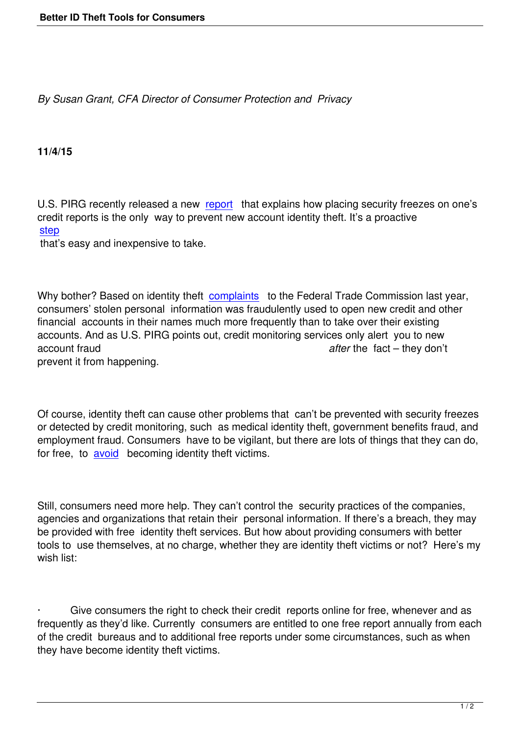*By Susan Grant, CFA Director of Consumer Protection and Privacy*

**11/4/15**

U.S. PIRG recently released a new report that explains how placing security freezes on one's credit reports is the only way to prevent new account identity theft. It's a proactive step

that's easy and inexpensive to take[.](http://uspirg.org/sites/pirg/files/reports/USPIRGFREEZE_0.pdf) 

Why bother? Based on identity theft complaints to the Federal Trade Commission last year, consumers' stolen personal information was fraudulently used to open new credit and other financial accounts in their names much more frequently than to take over their existing accounts. And as U.S. PIRG points [out, credit m](https://www.ftc.gov/system/files/documents/reports/consumer-sentinel-network-data-book-january-december-2014/sentinel-cy2014-1.pdf)onitoring services only alert you to new account fraud *after* the fact – they don't prevent it from happening.

Of course, identity theft can cause other problems that can't be prevented with security freezes or detected by credit monitoring, such as medical identity theft, government benefits fraud, and employment fraud. Consumers have to be vigilant, but there are lots of things that they can do, for free, to avoid becoming identity theft victims.

Still, consu[mers n](http://uspirgedfund.org/issues/usf/protecting-yourself-identity-theft?__utma=1.525043034.1444330398.1446659145.1446662907.3&__utmb=1.4.10.1446662907&__utmc=1&__utmx=-&__utmz=1.1444330398.1.1.utmcsr=%28direct%29|utmccn=%28direct%29|utmcmd=%28none%29&__utmv=-&__utmk=107937666)eed more help. They can't control the security practices of the companies, agencies and organizations that retain their personal information. If there's a breach, they may be provided with free identity theft services. But how about providing consumers with better tools to use themselves, at no charge, whether they are identity theft victims or not? Here's my wish list:

Give consumers the right to check their credit reports online for free, whenever and as frequently as they'd like. Currently consumers are entitled to one free report annually from each of the credit bureaus and to additional free reports under some circumstances, such as when they have become identity theft victims.